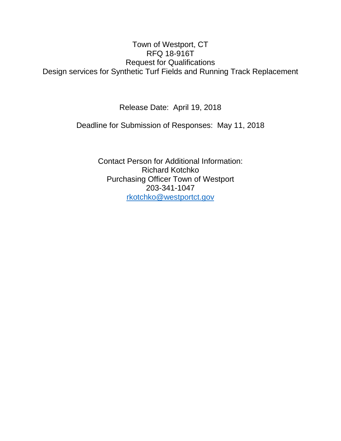# Town of Westport, CT RFQ 18-916T Request for Qualifications Design services for Synthetic Turf Fields and Running Track Replacement

Release Date: April 19, 2018

Deadline for Submission of Responses: May 11, 2018

Contact Person for Additional Information: Richard Kotchko Purchasing Officer Town of Westport 203-341-1047 [rkotchko@westportct.gov](mailto:rkotchko@westportct.gov)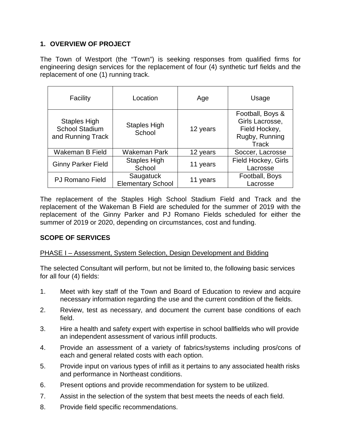## **1. OVERVIEW OF PROJECT**

The Town of Westport (the "Town") is seeking responses from qualified firms for engineering design services for the replacement of four (4) synthetic turf fields and the replacement of one (1) running track.

| Facility                                                          | Location                              | Age      | Usage                                                                           |  |
|-------------------------------------------------------------------|---------------------------------------|----------|---------------------------------------------------------------------------------|--|
| <b>Staples High</b><br><b>School Stadium</b><br>and Running Track | <b>Staples High</b><br>School         | 12 years | Football, Boys &<br>Girls Lacrosse,<br>Field Hockey,<br>Rugby, Running<br>Track |  |
| Wakeman B Field                                                   | Wakeman Park                          | 12 years | Soccer, Lacrosse                                                                |  |
| <b>Ginny Parker Field</b>                                         | <b>Staples High</b><br>School         | 11 years | Field Hockey, Girls<br>Lacrosse                                                 |  |
| <b>PJ Romano Field</b>                                            | Saugatuck<br><b>Elementary School</b> | 11 years | Football, Boys<br>Lacrosse                                                      |  |

The replacement of the Staples High School Stadium Field and Track and the replacement of the Wakeman B Field are scheduled for the summer of 2019 with the replacement of the Ginny Parker and PJ Romano Fields scheduled for either the summer of 2019 or 2020, depending on circumstances, cost and funding.

## **SCOPE OF SERVICES**

## PHASE I – Assessment, System Selection, Design Development and Bidding

The selected Consultant will perform, but not be limited to, the following basic services for all four (4) fields:

- 1. Meet with key staff of the Town and Board of Education to review and acquire necessary information regarding the use and the current condition of the fields.
- 2. Review, test as necessary, and document the current base conditions of each field.
- 3. Hire a health and safety expert with expertise in school ballfields who will provide an independent assessment of various infill products.
- 4. Provide an assessment of a variety of fabrics/systems including pros/cons of each and general related costs with each option.
- 5. Provide input on various types of infill as it pertains to any associated health risks and performance in Northeast conditions.
- 6. Present options and provide recommendation for system to be utilized.
- 7. Assist in the selection of the system that best meets the needs of each field.
- 8. Provide field specific recommendations.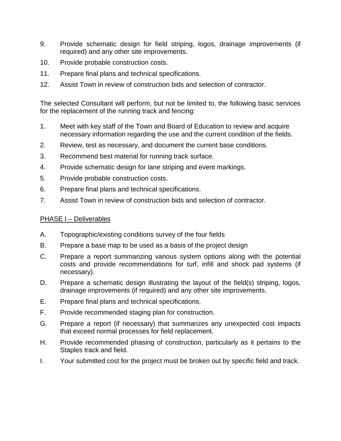- 9. Provide schematic design for field striping, logos, drainage improvements (if required) and any other site improvements.
- 10. Provide probable construction costs.
- 11. Prepare final plans and technical specifications.
- 12. Assist Town in review of construction bids and selection of contractor.

The selected Consultant will perform, but not be limited to, the following basic services for the replacement of the running track and fencing:

- 1. Meet with key staff of the Town and Board of Education to review and acquire necessary information regarding the use and the current condition of the fields.
- 2. Review, test as necessary, and document the current base conditions.
- 3. Recommend best material for running track surface.
- 4. Provide schematic design for lane striping and event markings.
- 5. Provide probable construction costs.
- 6. Prepare final plans and technical specifications.
- 7. Assist Town in review of construction bids and selection of contractor.

## PHASE I – Deliverables

- A. Topographic/existing conditions survey of the four fields
- B. Prepare a base map to be used as a basis of the project design
- C. Prepare a report summarizing various system options along with the potential costs and provide recommendations for turf, infill and shock pad systems (if necessary).
- D. Prepare a schematic design illustrating the layout of the field(s) striping, logos, drainage improvements (if required) and any other site improvements.
- E. Prepare final plans and technical specifications.
- F. Provide recommended staging plan for construction.
- G. Prepare a report (if necessary) that summarizes any unexpected cost impacts that exceed normal processes for field replacement.
- H. Provide recommended phasing of construction, particularly as it pertains to the Staples track and field.
- I. Your submitted cost for the project must be broken out by specific field and track.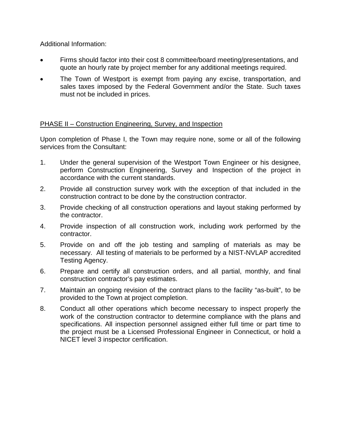Additional Information:

- Firms should factor into their cost 8 committee/board meeting/presentations, and quote an hourly rate by project member for any additional meetings required.
- The Town of Westport is exempt from paying any excise, transportation, and sales taxes imposed by the Federal Government and/or the State. Such taxes must not be included in prices.

#### PHASE II – Construction Engineering, Survey, and Inspection

Upon completion of Phase I, the Town may require none, some or all of the following services from the Consultant:

- 1. Under the general supervision of the Westport Town Engineer or his designee, perform Construction Engineering, Survey and Inspection of the project in accordance with the current standards.
- 2. Provide all construction survey work with the exception of that included in the construction contract to be done by the construction contractor.
- 3. Provide checking of all construction operations and layout staking performed by the contractor.
- 4. Provide inspection of all construction work, including work performed by the contractor.
- 5. Provide on and off the job testing and sampling of materials as may be necessary. All testing of materials to be performed by a NIST-NVLAP accredited Testing Agency.
- 6. Prepare and certify all construction orders, and all partial, monthly, and final construction contractor's pay estimates.
- 7. Maintain an ongoing revision of the contract plans to the facility "as-built", to be provided to the Town at project completion.
- 8. Conduct all other operations which become necessary to inspect properly the work of the construction contractor to determine compliance with the plans and specifications. All inspection personnel assigned either full time or part time to the project must be a Licensed Professional Engineer in Connecticut, or hold a NICET level 3 inspector certification.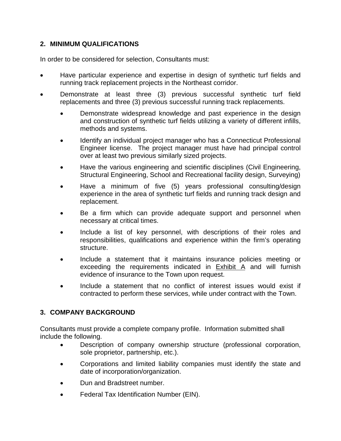## **2. MINIMUM QUALIFICATIONS**

In order to be considered for selection, Consultants must:

- Have particular experience and expertise in design of synthetic turf fields and running track replacement projects in the Northeast corridor.
- Demonstrate at least three (3) previous successful synthetic turf field replacements and three (3) previous successful running track replacements.
	- Demonstrate widespread knowledge and past experience in the design and construction of synthetic turf fields utilizing a variety of different infills, methods and systems.
	- Identify an individual project manager who has a Connecticut Professional Engineer license. The project manager must have had principal control over at least two previous similarly sized projects.
	- Have the various engineering and scientific disciplines (Civil Engineering, Structural Engineering, School and Recreational facility design, Surveying)
	- Have a minimum of five (5) years professional consulting/design experience in the area of synthetic turf fields and running track design and replacement.
	- Be a firm which can provide adequate support and personnel when necessary at critical times.
	- Include a list of key personnel, with descriptions of their roles and responsibilities, qualifications and experience within the firm's operating structure.
	- Include a statement that it maintains insurance policies meeting or exceeding the requirements indicated in Exhibit A and will furnish evidence of insurance to the Town upon request.
	- Include a statement that no conflict of interest issues would exist if contracted to perform these services, while under contract with the Town.

## **3. COMPANY BACKGROUND**

Consultants must provide a complete company profile. Information submitted shall include the following.

- Description of company ownership structure (professional corporation, sole proprietor, partnership, etc.).
- Corporations and limited liability companies must identify the state and date of incorporation/organization.
- Dun and Bradstreet number.
- Federal Tax Identification Number (EIN).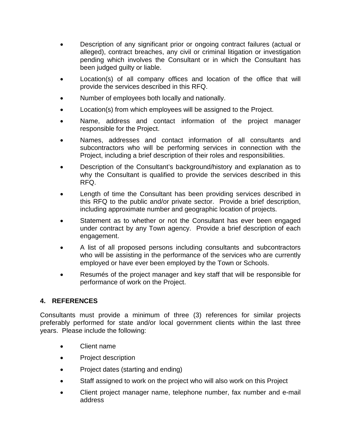- Description of any significant prior or ongoing contract failures (actual or alleged), contract breaches, any civil or criminal litigation or investigation pending which involves the Consultant or in which the Consultant has been judged guilty or liable.
- Location(s) of all company offices and location of the office that will provide the services described in this RFQ.
- Number of employees both locally and nationally.
- Location(s) from which employees will be assigned to the Project.
- Name, address and contact information of the project manager responsible for the Project.
- Names, addresses and contact information of all consultants and subcontractors who will be performing services in connection with the Project, including a brief description of their roles and responsibilities.
- Description of the Consultant's background/history and explanation as to why the Consultant is qualified to provide the services described in this RFQ.
- Length of time the Consultant has been providing services described in this RFQ to the public and/or private sector. Provide a brief description, including approximate number and geographic location of projects.
- Statement as to whether or not the Consultant has ever been engaged under contract by any Town agency. Provide a brief description of each engagement.
- A list of all proposed persons including consultants and subcontractors who will be assisting in the performance of the services who are currently employed or have ever been employed by the Town or Schools.
- Resumés of the project manager and key staff that will be responsible for performance of work on the Project.

## **4. REFERENCES**

Consultants must provide a minimum of three (3) references for similar projects preferably performed for state and/or local government clients within the last three years. Please include the following:

- Client name
- Project description
- Project dates (starting and ending)
- Staff assigned to work on the project who will also work on this Project
- Client project manager name, telephone number, fax number and e-mail address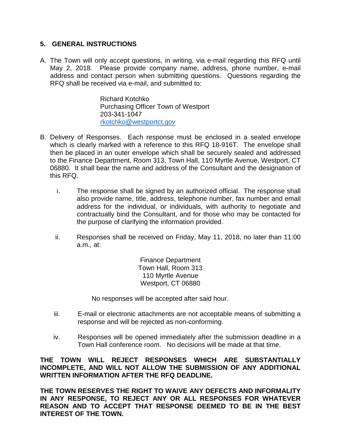#### **5. GENERAL INSTRUCTIONS**

A. The Town will only accept questions, in writing, via e-mail regarding this RFQ until May 2, 2018. Please provide company name, address, phone number, e-mail address and contact person when submitting questions. Questions regarding the RFQ shall be received via e-mail, and submitted to:

> Richard Kotchko Purchasing Officer Town of Westport 203-341-1047 [rkotchko@westportct.gov](mailto:rkotchko@westportct.gov)

- B. Delivery of Responses. Each response must be enclosed in a sealed envelope which is clearly marked with a reference to this RFQ 18-916T. The envelope shall then be placed in an outer envelope which shall be securely sealed and addressed to the Finance Department, Room 313, Town Hall, 110 Myrtle Avenue, Westport, CT 06880. It shall bear the name and address of the Consultant and the designation of this RFQ.
	- i. The response shall be signed by an authorized official. The response shall also provide name, title, address, telephone number, fax number and email address for the individual, or individuals, with authority to negotiate and contractually bind the Consultant, and for those who may be contacted for the purpose of clarifying the information provided.
	- ii. Responses shall be received on Friday, May 11, 2018, no later than 11:00 a.m., at:

Finance Department Town Hall, Room 313 110 Myrtle Avenue Westport, CT 06880

No responses will be accepted after said hour.

- iii. E-mail or electronic attachments are not acceptable means of submitting a response and will be rejected as non-conforming.
- iv. Responses will be opened immediately after the submission deadline in a Town Hall conference room. No decisions will be made at that time.

**THE TOWN WILL REJECT RESPONSES WHICH ARE SUBSTANTIALLY INCOMPLETE, AND WILL NOT ALLOW THE SUBMISSION OF ANY ADDITIONAL WRITTEN INFORMATION AFTER THE RFQ DEADLINE.**

**THE TOWN RESERVES THE RIGHT TO WAIVE ANY DEFECTS AND INFORMALITY IN ANY RESPONSE, TO REJECT ANY OR ALL RESPONSES FOR WHATEVER REASON AND TO ACCEPT THAT RESPONSE DEEMED TO BE IN THE BEST INTEREST OF THE TOWN.**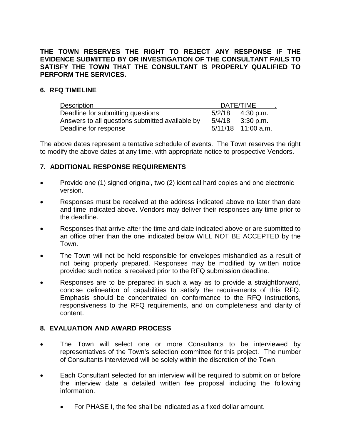#### **THE TOWN RESERVES THE RIGHT TO REJECT ANY RESPONSE IF THE EVIDENCE SUBMITTED BY OR INVESTIGATION OF THE CONSULTANT FAILS TO SATISFY THE TOWN THAT THE CONSULTANT IS PROPERLY QUALIFIED TO PERFORM THE SERVICES.**

#### **6. RFQ TIMELINE**

| Description                                     | DATE/TIME |                    |
|-------------------------------------------------|-----------|--------------------|
| Deadline for submitting questions               | 5/2/18    | 4:30 p.m.          |
| Answers to all questions submitted available by | 5/4/18    | 3:30 p.m.          |
| Deadline for response                           |           | 5/11/18 11:00 a.m. |

The above dates represent a tentative schedule of events. The Town reserves the right to modify the above dates at any time, with appropriate notice to prospective Vendors.

#### **7. ADDITIONAL RESPONSE REQUIREMENTS**

- Provide one (1) signed original, two (2) identical hard copies and one electronic version.
- Responses must be received at the address indicated above no later than date and time indicated above. Vendors may deliver their responses any time prior to the deadline.
- Responses that arrive after the time and date indicated above or are submitted to an office other than the one indicated below WILL NOT BE ACCEPTED by the Town.
- The Town will not be held responsible for envelopes mishandled as a result of not being properly prepared. Responses may be modified by written notice provided such notice is received prior to the RFQ submission deadline.
- Responses are to be prepared in such a way as to provide a straightforward, concise delineation of capabilities to satisfy the requirements of this RFQ. Emphasis should be concentrated on conformance to the RFQ instructions, responsiveness to the RFQ requirements, and on completeness and clarity of content.

## **8. EVALUATION AND AWARD PROCESS**

- The Town will select one or more Consultants to be interviewed by representatives of the Town's selection committee for this project. The number of Consultants interviewed will be solely within the discretion of the Town.
- Each Consultant selected for an interview will be required to submit on or before the interview date a detailed written fee proposal including the following information.
	- For PHASE I, the fee shall be indicated as a fixed dollar amount.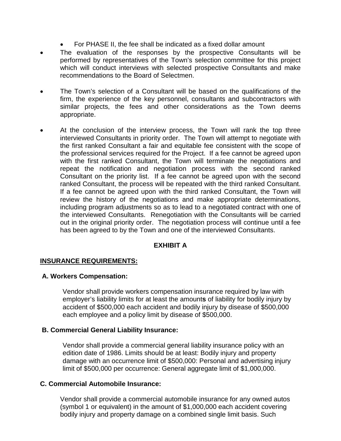- For PHASE II, the fee shall be indicated as a fixed dollar amount
- The evaluation of the responses by the prospective Consultants will be performed by representatives of the Town's selection committee for this project which will conduct interviews with selected prospective Consultants and make recommendations to the Board of Selectmen.
- The Town's selection of a Consultant will be based on the qualifications of the firm, the experience of the key personnel, consultants and subcontractors with similar projects, the fees and other considerations as the Town deems appropriate.
- At the conclusion of the interview process, the Town will rank the top three interviewed Consultants in priority order. The Town will attempt to negotiate with the first ranked Consultant a fair and equitable fee consistent with the scope of the professional services required for the Project. If a fee cannot be agreed upon with the first ranked Consultant, the Town will terminate the negotiations and repeat the notification and negotiation process with the second ranked Consultant on the priority list. If a fee cannot be agreed upon with the second ranked Consultant, the process will be repeated with the third ranked Consultant. If a fee cannot be agreed upon with the third ranked Consultant, the Town will review the history of the negotiations and make appropriate determinations, including program adjustments so as to lead to a negotiated contract with one of the interviewed Consultants. Renegotiation with the Consultants will be carried out in the original priority order. The negotiation process will continue until a fee has been agreed to by the Town and one of the interviewed Consultants.

#### **EXHIBIT A**

## **INSURANCE REQUIREMENTS:**

#### **A. Workers Compensation:**

Vendor shall provide workers compensation insurance required by law with employer's liability limits for at least the amount**s** of liability for bodily injury by accident of \$500,000 each accident and bodily injury by disease of \$500,000 each employee and a policy limit by disease of \$500,000.

#### **B. Commercial General Liability Insurance:**

Vendor shall provide a commercial general liability insurance policy with an edition date of 1986. Limits should be at least: Bodily injury and property damage with an occurrence limit of \$500,000: Personal and advertising injury limit of \$500,000 per occurrence: General aggregate limit of \$1,000,000.

#### **C. Commercial Automobile Insurance:**

Vendor shall provide a commercial automobile insurance for any owned autos (symbol 1 or equivalent) in the amount of \$1,000,000 each accident covering bodily injury and property damage on a combined single limit basis. Such